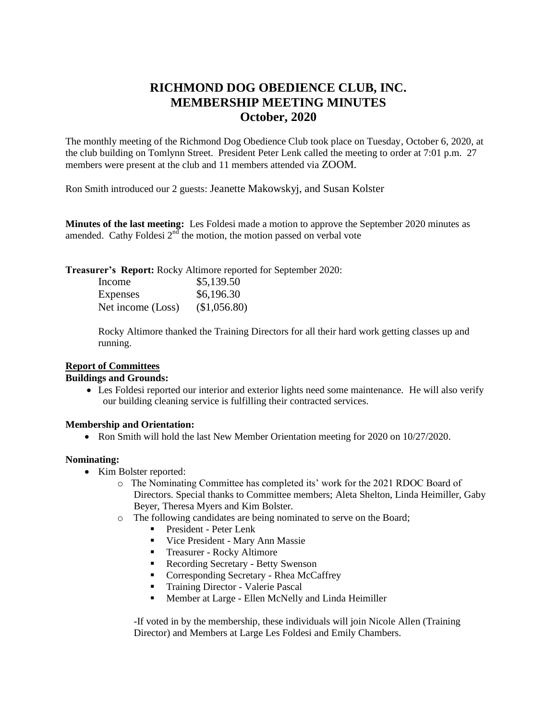# **RICHMOND DOG OBEDIENCE CLUB, INC. MEMBERSHIP MEETING MINUTES October, 2020**

The monthly meeting of the Richmond Dog Obedience Club took place on Tuesday, October 6, 2020, at the club building on Tomlynn Street. President Peter Lenk called the meeting to order at 7:01 p.m. 27 members were present at the club and 11 members attended via ZOOM.

Ron Smith introduced our 2 guests: Jeanette Makowskyj, and Susan Kolster

**Minutes of the last meeting:** Les Foldesi made a motion to approve the September 2020 minutes as amended. Cathy Foldesi  $2<sup>nd</sup>$  the motion, the motion passed on verbal vote

**Treasurer's Report:** Rocky Altimore reported for September 2020:

| Income            | \$5,139.50   |
|-------------------|--------------|
| <b>Expenses</b>   | \$6,196.30   |
| Net income (Loss) | (\$1,056.80) |

Rocky Altimore thanked the Training Directors for all their hard work getting classes up and running.

## **Report of Committees**

#### **Buildings and Grounds:**

 Les Foldesi reported our interior and exterior lights need some maintenance. He will also verify our building cleaning service is fulfilling their contracted services.

## **Membership and Orientation:**

• Ron Smith will hold the last New Member Orientation meeting for 2020 on 10/27/2020.

#### **Nominating:**

- Kim Bolster reported:
	- o The Nominating Committee has completed its' work for the 2021 RDOC Board of Directors. Special thanks to Committee members; Aleta Shelton, Linda Heimiller, Gaby Beyer, Theresa Myers and Kim Bolster.
	- The following candidates are being nominated to serve on the Board;
		- **President Peter Lenk**
		- Vice President Mary Ann Massie
		- **Treasurer Rocky Altimore**
		- **Recording Secretary Betty Swenson**
		- Corresponding Secretary Rhea McCaffrey
		- **Training Director Valerie Pascal**
		- **Member at Large Ellen McNelly and Linda Heimiller**

-If voted in by the membership, these individuals will join Nicole Allen (Training Director) and Members at Large Les Foldesi and Emily Chambers.